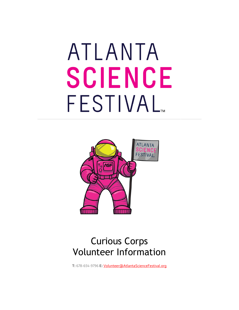# ATLANTA SCIENCE FESTIVAL<sub>M</sub>



# Curious Corps Volunteer Information

**T:** 678-654-9796 **E:** [Volunteer@AtlantaScienceFestival.org](mailto:Volunteer@AtlantaScienceFestival.org)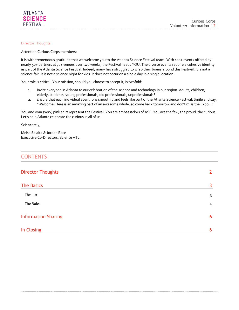#### <span id="page-1-0"></span>Director Thoughts

Attention Curious Corps members:

It is with tremendous gratitude that we welcome you to the Atlanta Science Festival team. With 100+ events offered by nearly 50+ partners at 70+ venues over two weeks, the Festival needs YOU. The diverse events require a cohesive identity as part of the Atlanta Science Festival. Indeed, many have struggled to wrap their brains around this Festival. It is not a science fair. It is not a science night for kids. It does not occur on a single day in a single location.

Your role is critical. Your mission, should you choose to accept it, is twofold:

- 1. Invite everyone in Atlanta to our celebration of the science and technology in our region. Adults, children, elderly, students, young professionals, old professionals, unprofessionals?
- 2. Ensure that each individual event runs smoothly and feels like part of the Atlanta Science Festival. Smile and say, "Welcome! Here is an amazing part of an awesome whole, so come back tomorrow and don't miss the Expo…"

You and your (very) pink shirt represent the Festival. You are ambassadors of ASF. You are the few, the proud, the curious. Let's help Atlanta celebrate the curious in all of us.

Sciencerely,

Meisa Salaita & Jordan Rose Executive C0-Directors, Science ATL

## **CONTENTS**

| <b>Director Thoughts</b>   | 2 |
|----------------------------|---|
| <b>The Basics</b>          | 3 |
| The List                   | 3 |
| The Roles                  | 4 |
| <b>Information Sharing</b> | 6 |
| In Closing                 | 6 |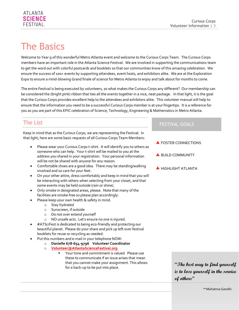# <span id="page-2-0"></span>The Basics

Welcome to Year 9 of this wonderful Metro Atlanta event and welcome to the Curious Corps Team. The Curious Corps members have an important role in the Atlanta Science Festival. We are involved in supporting the communications team to get the word out with colorful postcards and booklets so that our communities know of this amazing celebration. We ensure the success of 100+ events by supporting attendees, event hosts, and exhibitors alike. We are at the Exploration Expo to ensure a mind-blowing Grand finale of science for Metro Atlanta to enjoy and talk about for months to come.

The entire Festival is being executed by volunteers, so what makes the Curious Corps any different? Our membership can be considered the (bright pink) ribbon that ties all the events together in a nice, neat package. In that light, it is the goal that the Curious Corps provides excellent help to the attendees and exhibitors alike. This volunteer manual will help to ensure that the information you need to be a successful Curious Corps member is at your fingertips. It is a reference for you as you are part of this EPIC celebration of Science, Technology, Engineering & Mathematics in Metro Atlanta.

## <span id="page-2-1"></span>The List

Keep in mind that as the Curious Corps, we are representing the Festival. In that light, here are some basic requests of all Curious Corps Team Members:

- Please wear your Curious Corps t-shirt. It will identify you to others as someone who can help. Your t-shirt will be mailed to you at the address you shared in your registration. Your personal information will be not be shared with anyone for any reason.
- Comfortable shoes are a good idea. There may be standing/walking involved and so care for your feet.
- On your other attire, dress comfortably and keep in mind that you will be interacting with others when selecting from your closet, and that some events may be held outside (rain or shine).
- Only smoke in designated areas, please. Note that many of the facilities are smoke free so please plan accordingly.
- Please keep your own health & safety in mind.
	- o Stay hydrated
	- o Sunscreen, if outside
	- o Do not over extend yourself
	- o NO unsafe acts. Let's ensure no one is injured.
- #ATSciFest is dedicated to being eco-friendly and protecting our beautiful planet. Please do your share and pick up left over festival booklets for reuse or recycling as needed.
- Put this numbers and e-mail in your telephone NOW:
	- o **Danielle 678-654-9796 Volunteer Coordinator**
		- o **[Volunteer@AtlantaScienceFestival.org](mailto:Volunteer@AtlantaScienceFestival.org)**
			- Your time and commitment is valued. Please use these to communicate if an issue arises that mean that you cannot make your assignment. This allows for a back-up to be put into place.

## FESTIVAL GOALS

- **EXECUTER CONNECTIONS**
- BUILD COMMUNITY
- **A** HIGHLIGHT ATLANTA

**"The best way to find yourself is to lose yourself in the service of others"**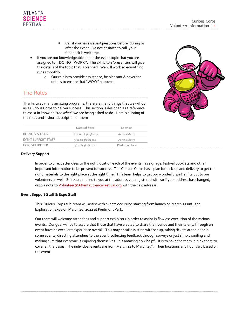- Call if you have issues/questions before, during or after the event. Do not hesitate to call, your feedback is welcome.
- If you are not knowledgeable about the event topic that you are assigned to ~ DO NOT WORRY. The exhibitors/presenters will give the details of the topic that is planned. We will work so everything runs smoothly.
	- o Our role is to provide assistance, be pleasant & cover the details to ensure that "WOW" happens.

## <span id="page-3-0"></span>The Roles

ATLANTA **SCIFNCF** FFSTIVAL

Thanks to so many amazing programs, there are many things that we will do as a Curious Corps to deliver success. This section is designed as a reference to assist in knowing "*the what*" we are being asked to do. Here is a listing of the roles and a short description of them



|                            | Dates of Need                  | Location      |
|----------------------------|--------------------------------|---------------|
| DELIVERY SUPPORT           | Now until $\frac{3}{25}$ /2022 | Across Metro  |
| <b>EVENT SUPPORT STAFF</b> | $3/12$ to $3/26/2022$          | Across Metro  |
| <b>EXPO VOLUNTEER</b>      | 3/2583/26/2022                 | Piedmont Park |

#### **Delivery Support**

In order to direct attendees to the right location each of the events has signage, festival booklets and other important information to be present for success. The Curious Corps has a plan for pick-up and delivery to get the right materials to the right place at the right time. This team helps to get our wonderful pink shirts out to our volunteers as well. Shirts are mailed to you at the address you registered with so if your address has changed, drop a note to *Volunteer@AtlantaScienceFestival.org* with the new address.

#### **Event Support Staff & Expo Staff**

This Curious Corps sub-team will assist with events occurring starting from launch on March 12 until the Exploration Expo on March 26, 2022 at Piedmont Park.

Our team will welcome attendees and support exhibitors in order to assist in flawless execution of the various events. Our goal will be to assure that those that have elected to share their venue and their talents through an event have an excellent experience overall. This may entail assisting with set up, taking tickets at the door in some events, directing attendees to the event, collecting feedback through surveys or just simply smiling and making sure that everyone is enjoying themselves. It is amazing how helpful it is to have the team in pink there to cover all the bases. The individual events are from March 12 to March 25<sup>th</sup>. Their locations and hour vary based on the event.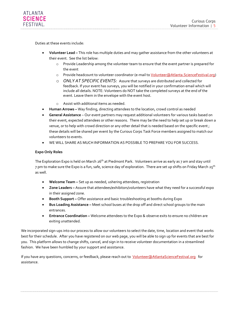Duties at these events include:

- **Volunteer Lead –** This role has multiple duties and may gather assistance from the other volunteers at their event. See the list below:
	- o Provide Leadership among the volunteer team to ensure that the event partner is prepared for the event
	- o Provide headcount to volunteer coordinator (e-mail t[o Volunteer@Atlanta.ScienceFestival.org\)](mailto:Volunteer@Atlanta.ScienceFestival.org)
	- o *ONLY AT SPECIFIC EVENTS:* Assure that surveys are distributed and collected for feedback. If your event has surveys, you will be notified in your confirmation email which will include all details. NOTE: Volunteers do NOT take the completed surveys at the end of the event. Leave them in the envelope with the event host.
	- o Assist with additional items as needed.
- **Human Arrows –** Way finding, directing attendees to the location, crowd control as needed
- **General Assistance**  Our event partners may request additional volunteers for various tasks based on their event, expected attendees or other reasons. There may be the need to help set up or break down a venue, or to help with crowd direction or any other detail that is needed based on the specific event ; these details will be shared per event by the Curious Corps Task Force members assigned to match our volunteers to events.
- WE WILL SHARE AS MUCH INFORMATION AS POSSIBLE TO PREPARE YOU FOR SUCCESS.

### **Expo Only Roles**

The Exploration Expo is held on March 26<sup>th</sup> at Piedmont Park. Volunteers arrive as early as 7 am and stay until 7 pm to make sure the Expo is a fun, safe, science day of exploration. There are set up shifts on Friday March 25<sup>th</sup> as well.

- **Welcome Team –** Set up as needed, ushering attendees, registration
- **Zone Leaders –** Assure that attendees/exhibitors/volunteers have what they need for a successful expo in their assigned zone.
- **Booth Support –** Offer assistance and basic troubleshooting at booths during Expo
- **Bus Loading Assistance –** Meet school buses at the drop off and direct school groups to the main entrances.
- **Entrance Coordination –** Welcome attendees to the Expo & observe exits to ensure no children are exiting unattended.

We incorporated sign-ups into our process to allow our volunteers to select the date, time, location and event that works best for their schedule. After you have registered on our web page, you will be able to sign up for events that are best for you. This platform allows to change shifts, cancel, and sign in to receive volunteer documentation in a streamlined fashion. We have been humbled by your support and assistance.

<span id="page-4-0"></span>If you have any questions, concerns, or feedback, please reach out to *Volunteer@AtlantaScienceFestival.org* for assistance.